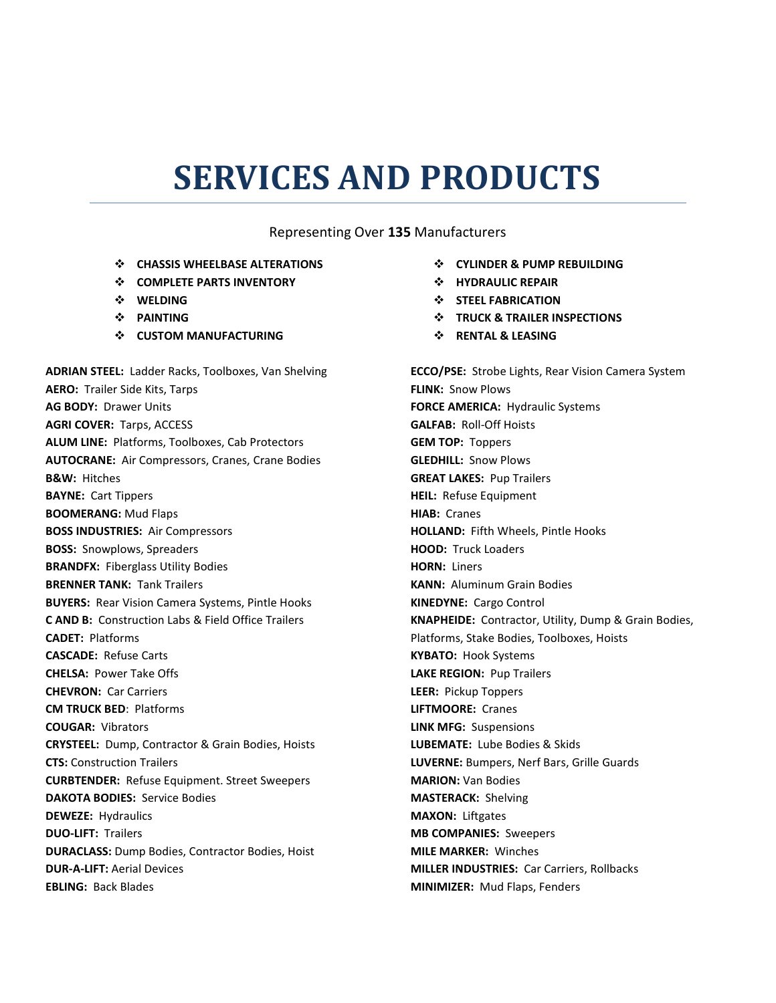## **SERVICES AND PRODUCTS**

## Representing Over **135** Manufacturers

- **CHASSIS WHEELBASE ALTERATIONS**
- **COMPLETE PARTS INVENTORY**
- **WELDING**
- **PAINTING**
- **CUSTOM MANUFACTURING**

**ADRIAN STEEL:** Ladder Racks, Toolboxes, Van Shelving **AERO:** Trailer Side Kits, Tarps **AG BODY:** Drawer Units **AGRI COVER:** Tarps, ACCESS **ALUM LINE:** Platforms, Toolboxes, Cab Protectors **AUTOCRANE:** Air Compressors, Cranes, Crane Bodies **B&W:** Hitches **BAYNE:** Cart Tippers **BOOMERANG:** Mud Flaps **BOSS INDUSTRIES:** Air Compressors **BOSS:** Snowplows, Spreaders **BRANDFX:** Fiberglass Utility Bodies **BRENNER TANK:** Tank Trailers **BUYERS:** Rear Vision Camera Systems, Pintle Hooks **C AND B:** Construction Labs & Field Office Trailers **CADET:** Platforms **CASCADE:** Refuse Carts **CHELSA:** Power Take Offs **CHEVRON:** Car Carriers **CM TRUCK BED**: Platforms **COUGAR:** Vibrators **CRYSTEEL:** Dump, Contractor & Grain Bodies, Hoists **CTS:** Construction Trailers **CURBTENDER:** Refuse Equipment. Street Sweepers **DAKOTA BODIES:** Service Bodies **DEWEZE:** Hydraulics **DUO-LIFT:** Trailers **DURACLASS:** Dump Bodies, Contractor Bodies, Hoist **DUR-A-LIFT:** Aerial Devices **EBLING:** Back Blades

- **CYLINDER & PUMP REBUILDING**
- **HYDRAULIC REPAIR**
- **STEEL FABRICATION**
- $\div$  TRUCK & TRAILER INSPECTIONS
- **RENTAL & LEASING**

**ECCO/PSE:** Strobe Lights, Rear Vision Camera System **FLINK:** Snow Plows **FORCE AMERICA:** Hydraulic Systems **GALFAB:** Roll-Off Hoists **GEM TOP:** Toppers **GLEDHILL:** Snow Plows **GREAT LAKES:** Pup Trailers **HEIL:** Refuse Equipment **HIAB:** Cranes **HOLLAND:** Fifth Wheels, Pintle Hooks **HOOD:** Truck Loaders **HORN:** Liners **KANN:** Aluminum Grain Bodies **KINEDYNE:** Cargo Control **KNAPHEIDE:** Contractor, Utility, Dump & Grain Bodies, Platforms, Stake Bodies, Toolboxes, Hoists **KYBATO:** Hook Systems **LAKE REGION:** Pup Trailers **LEER:** Pickup Toppers **LIFTMOORE:** Cranes **LINK MFG:** Suspensions **LUBEMATE:** Lube Bodies & Skids **LUVERNE:** Bumpers, Nerf Bars, Grille Guards **MARION:** Van Bodies **MASTERACK:** Shelving **MAXON:** Liftgates **MB COMPANIES:** Sweepers **MILE MARKER:** Winches **MILLER INDUSTRIES:** Car Carriers, Rollbacks **MINIMIZER:** Mud Flaps, Fenders